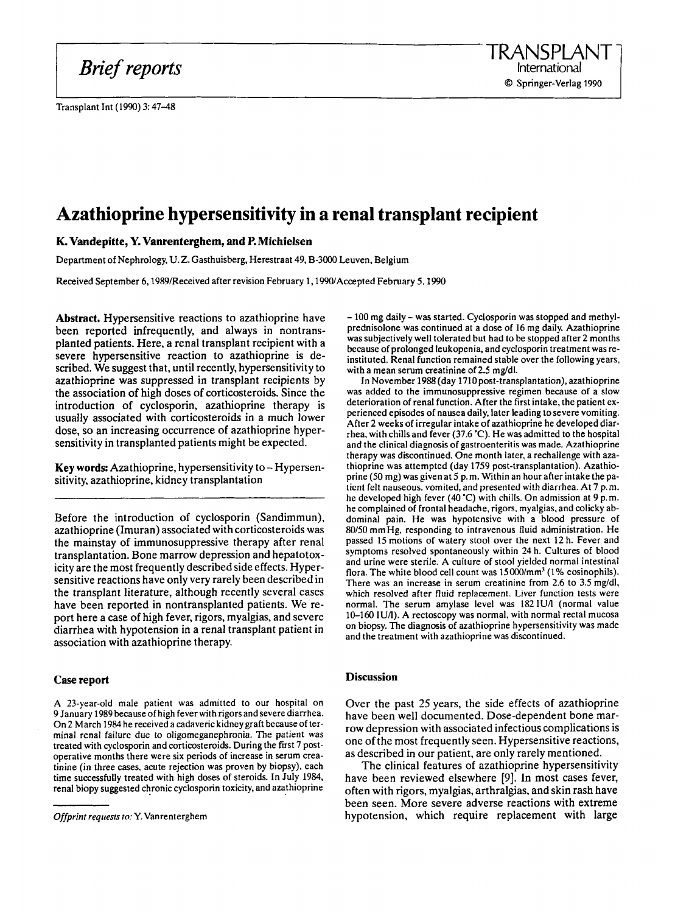*Brief reports* 

Transplant Int (1990) 3: 47-48

# **Azathioprine hypersensitivity in a renal transplant recipient**

## **K. Vandepitte, Y. Vanrenterghem, and P. Michielsen**

Department **of** Nephrology, U. **Z.** Gasthuisberg, Herestraat 49, B-3000 Leuven, Belgium

Received September 6,1989/Received after revision February 1,1990/Accepted February 5.1990

**Abstract.** Hypersensitive reactions to azathioprine have been reported infrequently, and always in nontransplanted patients. Here, a renal transplant recipient with a severe hypersensitive reaction to azathioprine is described. We suggest that, until recently, hypersensitivity to azathioprine was suppressed in transplant recipients **by**  the association of high doses of corticosteroids. Since the introduction of cyclosporin, azathioprine therapy is usually associated with corticosteroids in a much lower dose, so an increasing occurrence of azathioprine hypersensitivity in transplanted patients might be expected.

**Key words:** Azathioprine, hypersensitivity to - Hypersensitivity, azathioprine, kidney transplantation

Before the introduction of cyclosporin (Sandimmun). azathioprine (Imuran) associated with corticosteroids was the mainstay of immunosuppressive therapy after renal transplantation. Bone marrow depression and hepatotoxicity are the most frequently described side effects. Hypersensitive reactions have only very rarely been described in the transplant literature, although recently several cases have been reported in nontransplanted patients. We report here a case of high fever, rigors, myalgias, and severe diarrhea with hypotension in a renal transplant patient in association with azathioprine therapy.

### **Case report**

A 23-year-old male patient was admitted to our hospital **on**  9 January 1989 because of high fever with rigors and severe diarrhea. On 2 March 1984 he received a cadaveric kidney graft because of terminal renal failure due to oligomeganephronia. The patient was treated with cyclosporin and corticosteroids. During the first 7 postoperative months there were six periods of increase in **serum** creatinine (in three cases, acute rejection was proven by biopsy), each time successfully treated with high doses of steroids. In July 1984, renal biopy suggested chronic cyclosporin toxicity, and azathioprine

- 100 **mg** daily - was started. Cyclosporin was stopped and methylprednisolone was continued at a dose of 16 **mg** daily. Azathioprine was subjectively well tolerated but had to be stopped after 2 months because of prolonged leukopenia, and cyclosporin treatment was reinstituted. Renal function remained stable over the following years, with a mean serum creatinine of 2.5 mg/dl.

**In** November 1988 (day 1710 post-transplantation), azathioprine was added to the immunosuppressive regimen because *of* a slow deterioration of renal function. After the first intake, the patient experienced episodes of nausea daily, later leading to severe vomiting. After 2 weeks of irregular intake of azathioprine he developed diarrhea, with chills and fever (37.6 'C). He was admitted to the hospital and the clinical diagnosis of gastroenteritis was made. Azathioprine therapy was discontinued. One month later, a rechallenge with azathioprine was attempted (day 1759 post-transplantation). Azathioprine **(50** mg) was given at 5 p. m. Within an hour after intake the paticnt felt nauseous. vomited, and presented with diarrhea. At **7** p.m. he developed high fever **(40** 'C) with chills. On admission at 9 p.m. he complained *of* frontal headache, rigors. myalgias, and colicky abdominal pain. He was hypolensive with a blood pressure of 80/50 mmHg, responding to intravenous fluid administration. He passed 15 motions *of* watery stool over the next 12 h. Fever and symptoms resolved spontaneously within 24 h. Cultures of blood and urine were sterile. A culture of stool yielded normal intestinal flora. The white blood cell count was l5OOO/mm' **(1** % eosinophils). There was an increase in serum creatinine from 2.6 to 3.5 mg/dl, which resolved after fluid replacement. Liver function tests were normal. The serum amylase level was 182IUA (normal value 10-160 IUA). A rectoscopy was normal, with normal rectal mucosa on biopsy. The diagnosis of azathioprine hypersensitivity was made and the treatment with azathioprine was discontinued.

## **Discussion**

Over the past *25* years, the side effects of azathioprine have been well documented. Dose-dependent bone marrow depression with associated infectious complications is one of the most frequently seen. Hypersensitive reactions, as described in our patient, are only rarely mentioned.

The clinical features of azathioprine hypersensitivity have been reviewed elsewhere [9]. In most cases fever, often with rigors, myalgias, arthralgias. and skin rash have been seen. More severe adverse reactions with extreme hypotension, which require replacement with large

*Offprint requests* to: **Y.** Vanrenterghem